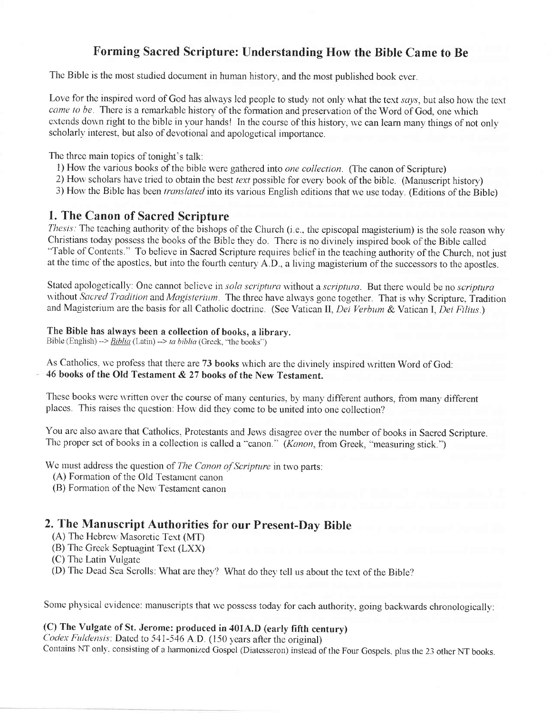# Forming Sacred Scripture: Understanding How the Bible Came to Be

Thc Bible is the most studied document in human history. and thc most published book ever.

Love for the inspired word of God has always led people to study not only what the text says, but also how the text came to be. There is a remarkable history of the formation and preservation of the Word of God, one which extends down right to the bible in your hands! In the course of this history, we can learn many things of not only scholarlv interest, but also of devotional and apologetical importance.

The three main topics of tonight's talk:

- l) How the various books of the bible were gathered into one collection. (The canon of Scripture)
- 2) How scholars have tried to obtain the best *text* possible for every book of the bible. (Manuscript history)
- 3) How the Bible has been *translated* into its various English editions that we use today. (Editions of the Bible)

# 1. The Canon of Sacred Scripture

Thesis: The teaching authority of the bishops of the Church (i.e., the episcopal magisterium) is the sole reason why Christians today possess the books of the Bible they do. There is no divinely inspired book of the Bible called "Table of Contents." To believe in Sacred Scripture requires belief in the teaching authority of the Church, not just at the time of the apostles, but into the fourth century A.D., a living magisterium of the successors to the apostles.

Stated apologetically: One cannot believe in *sola scriptura* without a scriptura. But there would be no scriptura without Sacred Tradition and Magisterium. The three have always gone together. That is why Scripture. Tradition and Magisterium are the basis for all Catholic doctrine. (See Vatican II, Dei Verbum & Vatican I, Dei Filius.)

The Bible has always been a collection of books, a library.

Bible (English) --> Biblia (Latin) --> ta biblia (Greek, "the books")

As Catholics, we profess that there are 73 books which are the divinely inspired written Word of God: 46 books of the Old Testament & 27 books of the New Testament.

These books were written over the course of many centuries, by many different authors, from many different places. This raises the question: How did they come to be united into one collection?

You are also aware that Catholics, Protestants and Jews disagree over the number of books in Sacred Scripture. The proper set of books in a collection is called a "canon." (Kanon, from Greek, "measuring stick.")

We must address the question of *The Canon of Scripture* in two parts:

- (A) Formation of the Old Testancnt canon
- (B) Formation of the New Testament canon

# 2. The Manuscript Authorities for our Present-Day Bible

- (A) The Hebrew Masoretic Text (MT)
- (B) The Greek Septuagint Text (LXX)

(C) Tho Latin Vulgate

(D) The Dead Sea Scrolls: What are they? What do they tell us about the text of the Bible?

Some physical evidence: manuscripts that we possess today for each authority, going backwards chronologically:

# (c) The vulgate of St. Jerome: produced in 401A.D (early fifth century)

Codex Fuldensis: Dated to 541-546 A.D. (150 years after the original) Contains NT only, consisting of a harmonized Gospel (Diatesseron) instead of the Four Gospels, plus the 23 other NT books.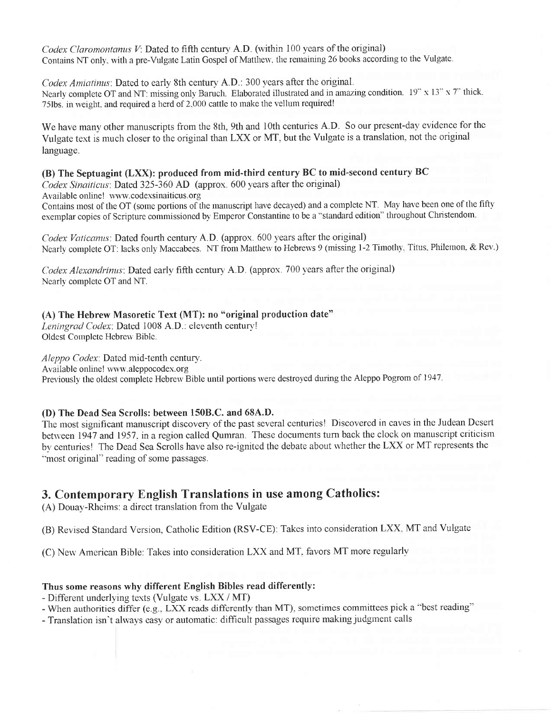Codex Claromontanus V: Dated to fifth century A.D. (within 100 years of the original) Contains NT only, with a pre-Vulgate Latin Gospel of Matthew, the remaining 26 books according to the Vulgate.

Codex Amiatinus: Dated to early 8th century A.D.: 300 years after the original. Nearly complete OT and NT: missing only Baruch. Elaborated illustrated and in amazing condition. 19" x 13" x 7" thick. 75lbs. in weight, and required a herd of 2,000 cattle to make the vellum required!

We have many other manuscripts from the 8th, 9th and 10th centuries A.D. So our present-day evidence for the Vulgate text is much closer to the original than LXX or MT. but the Vulgate is a translation. not the original language.

### (B) The Septuagint (LXX): produced from mid-third century BC to mid-second century BC

Codex Sinaiticus: Dated 325-360 AD (approx. 600 years after the original)

Available online! www.codexsinaiticus.org

Contains most of the OT (some portions of the manuscript have decayed) and a complete NT. May have been one of the fifty exemplar copies of Scripture commissioned by Emperor Constantine to be a "standard edition" throughout Christendom.

Codex Vaticanus: Dated fourth century A.D. (approx. 600 years after the original) Nearly complete OT: lacks only Maccabees. NT from Matthew to Hebrews 9 (missing 1-2 Timothy, Titus, Philemon, & Rev.)

Codex Alexandrinus: Dated early fifth century A.D. (approx. 700 years after the original) Nearly complete OT and NT.

#### (A) The Hebrew Masoretic Text (MT): no "original production date"

Leningrad Codex: Dated 1008 A.D.: eleventh century! Oldest Cornplete Hebreu' Biblc.

Aleppo Codex: Dated mid-tenth century.

Available online! www.aleppocodex.org

Previously the oldest complete Hebrew Bible until portions were destroyed during the Aleppo Pogrom of 1947.

#### (D) The Dead Sea Scrolls: between 150B.C. and 68A.D.

The most significant manuscript discovery of the past several centuries! Discovered in caves in the Judean Dcsert between 1947 and 1957, in a region called Qumran. These documents turn back the clock on manuscript criticism by centuries! The Dead Sea Scrolls have also re-ignited the debate about whether the LXX or MT represents the "most original" reading of some passages.

# 3. Contemporary English Translations in use among Catholics:

(A) Douay-Rhcims: a direct translation from the Vulgate

(B) Revised Standard Version, Catholic Edition (RSV-CE): Takes into consideration LXX. MT and Vulgate

(C) Nerv American Bible: Takes into consideration LXX and MT. favors MT more regularly

#### Thus some reasons why different English Bibles read differently:

- Different underlying texts (Vulgate vs. LXX / MT)

- When authorities differ (e.g., LXX reads differently than MT), sometimes committees pick a "best reading"
- Translation isn't always easy or automatic: difficult passages require making judgment calls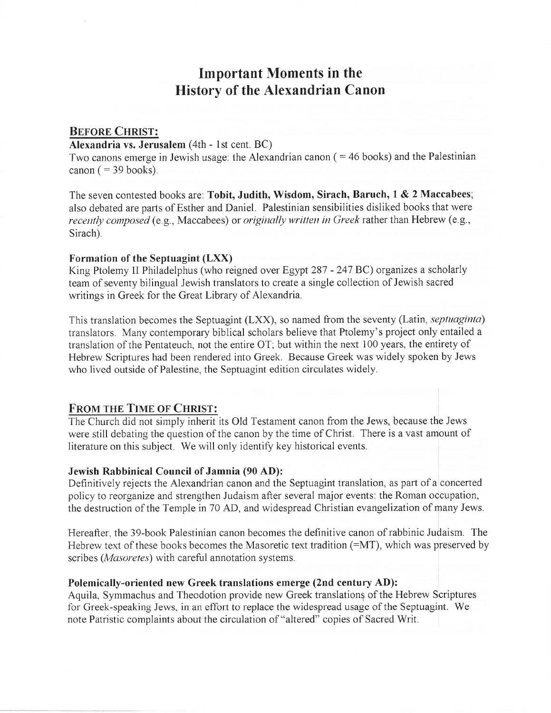# Important Moments in the History of the Alexandrian Canon

#### **BEFORE CHRIST:**

#### Alexandria vs. Jerusalem (4th - 1st cent. BC)

Two canons emerge in Jewish usage: the Alexandrian canon ( $=46$  books) and the Palestinian canon  $(=39 \text{ books})$ .

The seven contested books are: Tobit, Judith, Wisdom, Sirach, Baruch, 1 & 2 Maccabees; also debated are parts of Esther and Daniel. Palestinian sensibilities disliked books that were recently composed (e.g., Maccabees) or originally written in Greek rather than Hebrew (e.g., Sirach).

#### Formation of the Septuagint (LXX)

King Ptolemy II Philadelphus (who reigned over Egypt 287 - 247 BC) organizes a scholarly team of seventy bilingual Jewish translators to create a single collection of Jewish sacred writings in Greek for the Great Library of Alexandria.

This translation becomes the Septuagint (LXX), so named from the seventy (Latin, sepluaginta) translators. Many contemporary biblical scholars believe that Ptolemy's project only entailed a translation of the Pentateuch, not the entire OT; but within the next 100 years, the entirety of Hebrew Scriptures had been rendered into Greek. Because Greek was widely spoken by Jews who lived outside of Palestine, the Septuagint edition circulates widely.

### FROM THE TIME OF CHRIST:

The Church did not simply inherit its Old Testament canon from the Jews, because the Jews were still debating the question of the canon by the time of Christ. There is a vast amount of literature on this subject. We will only identify key historical events.

#### Jewish Rabbinical Council of Jamnia (90 AD):

Definitively rejects the Alexandrian canon and the Septuagint translation, as part of a concerted policy to reorganize and strengthen Judaism after several major events: the Roman occupation, the destruction of the Temple in 70 AD, and widespread Christian evangelization of many Jews.

Hereafter. the 39-book Palestinian canon becomes the definitive canon of rabbinic Judaism. The Hebrew text of these books becomes the Masoretic text tradition  $(=MT)$ , which was preserved by scribes (*Masoretes*) with careful annotation systems.

#### Polemically-oriented new Greek translations emerge (2nd century AD):

Aquila, Symmachus and Theodotion provide new Greek translations of the Hebrew Scriptures for Greek-speaking Jews, in an effort to replace the widespread usage of the Septuagint. We note Patristic complaints about the circulation of "altered" copies of Sacred Writ.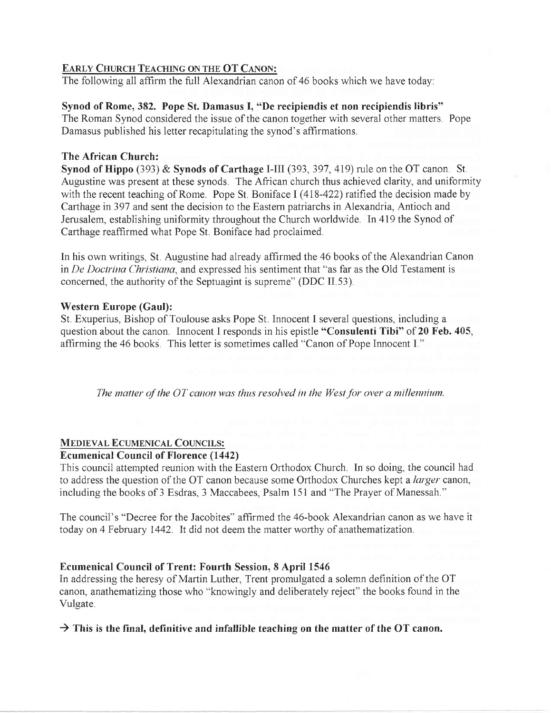## EARLY CHURCH TEACHING ON THE OT CANON:

The following all affirm the full Alexandrian canon of 46 books which we have today:

## Synod of Rome, 382. Pope St. Damasus I, "De recipiendis et non recipiendis libris"

The Roman Synod considered the issue of the canon together with several other matters. Pope Damasus published his letter recapitulating the synod's affirmations.

## The African Church:

Synod of Hippo (393)  $&$  Synods of Carthage I-III (393, 397, 419) rule on the OT canon. St. Augustine was present at these synods. The African church thus achieved clarity, and uniformity with the recent teaching of Rome. Pope St. Boniface I (418-422) ratified the decision made by Carthage in 397 and sent the decision to the Eastern patriarchs in Alexandria, Antioch and Jerusalem, establishing uniformity throughout the Church worldwide. In 4I9 the Synod of Carthage reaffirmed what Pope St. Boniface had proclaimed.

In his own writings, St. Augustine had already affirmed the 46 books of the Alexandrian Canon in De Doctrina Christiana, and expressed his sentiment that "as far as the Old Testament is concerned, the authority of the Septuagint is supreme" (DDC II.53)

## Western Europe (Gaul):

St. Exuperius, Bishop of Toulouse asks Pope St. Innocent I several questions, including <sup>a</sup> question about the canon. Innocent I responds in his epistle "Consulenti Tibi" of 20 Feb. 405, affirming the 46 books. This letter is sometimes called "Canon of Pope Innocent I."

The matter of the  $OT$  canon was thus resolved in the West for over a millennium.

### **MEDIEVAL ECUMENICAL COUNCILS:**

### Ecumenical Council of Florence (1442)

This council attempted reunion with the Eastern Orthodox Church. In so doing, the council had to address the question of the OT canon because some Orthodox Churches kept a *larger* canon, including the books of 3 Esdras, 3 Maccabees, Psalm 151 and "The Prayer of Manessah."

The council's "Decree for the Jacobites" affirmed the 46-book Alexandrian canon as we have it today on 4 February 1442. It did not deem the matter worthy of anathematization.

### Ecumenical Council of Trent: Fourth Session, 8 April 1546

In addressing the heresy of Martin Luther, Trent promulgated a solemn definition of the OT canon, anathematizing those who "knowingly and deliberately reject" the books found in the Vulgate.

### $\rightarrow$  This is the final, definitive and infallible teaching on the matter of the OT canon.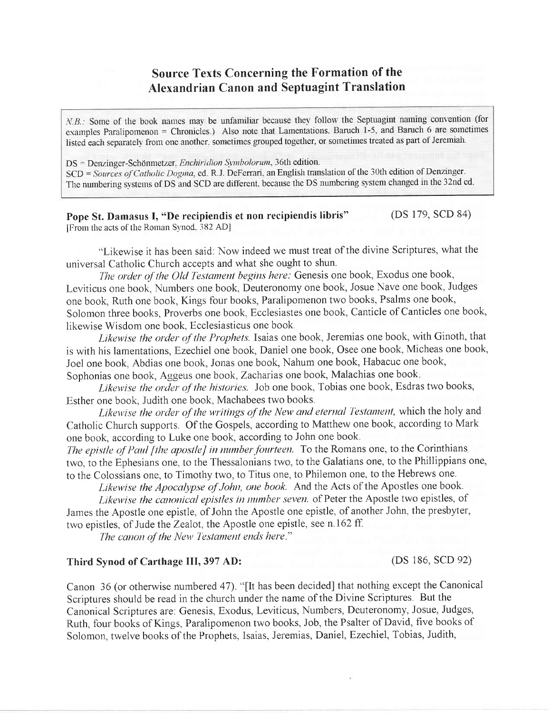# Source Texts Concerning the Formation of the Alexandrian Canon and Septuagint Translation

 $N.B.$ : Some of the book names may be unfamiliar because they follow the Septuagint naming convention (for examples Paralipomenon = Chronicles.) Also note that Lamentations. Baruch 1-5, and Baruch 6 are sometimes listed each separately from one another, sometimes grouped together, or sometimes treated as part of Jeremiah.

DS = Denzinger-Schönmetzer. Enchiridion Symbolorum, 36th edition. SCD = Sources of Catholic Dogma, ed. R.J. DeFerrari, an English translation of the 30th edition of Denzinger. The numbering systems of DS and SCD are different. because the DS numbering system changed in the 32nd ed.

#### Pope St. Damasus I, "De recipiendis et non recipiendis libris" [From the acts of the Roman Synod. 382 AD] (DS 179, SCD 84)

"Likewise it has been said: Now indeed we must treat of the divine Scriptures, what the universal Catholic Church accepts and what she ought to shun.

The order of the Old Testament begins here: Genesis one book, Exodus one book, Leviticus one book, Numbers one book, Deuteronomy one book, Josue Nave one book, Judges one book, Ruth one book, Kings four books, Paralipomenon two books, Psalms one book, Solomon three books, Proverbs one book, Ecclesiastes one book, Canticle of Canticles one book, likewise Wisdom one book, Ecclesiasticus one book.

Likewise the order of the Prophets. Isaias one book, Jeremias one book, with Ginoth, that is with his lamentations, Ezechiel one book, Daniel one book, Osee one book, Micheas one book, Joel one book, Abdias one book, Jonas one book, Nahum one book, Habacuc one book, Sophonias one book, Aggeus one book, Zacharias one book, Malachias one book,

Likewise the order of the histories. Job one book, Tobias one book, Esdras two books, Esther one book, Judith one book, Machabees two books.

Likewise the order of the writings of the New and eternal Testament, which the holy and Catholic Church supports. Of the Gospels, according to Matthew one book, according to Mark one book, according to Luke one book, according to John one book.

The epistle of Paul [the apostle] in number fourteen. To the Romans one, to the Corinthians. two, to the Ephesians one. to the Thessalonians two, to the Galatians one, to the Phillippians one, to the Colossians one, to Timothy two, to Titus one, to Philemon one, to the Hebrews one.

Likewise the Apocalypse of John, one book. And the Acts of the Apostles one book. Likewise the canonical epistles in number seven. of Peter the Apostle two epistles, of

James the Apostle one epistle, of John the Apostle one epistle. of another John, the presbyter, two epistles, of Jude the Zealot, the Apostle one epistle, see n.162 ff.

The canon of the New Testament ends here."

# Third Synod of Carthage III, 397 AD: (DS 186, SCD 92)

Canon 36 (or otherwise numbered 47). "[It has been decided] that nothing except the Canonical Scriptures should be read in the church under the name of the Divine Scriptures. But the Canonical Scriptures are. Genesis, Exodus, Leviticus, Numbers, Deuteronomy, Josue, Judges, Ruth. four books of Kings, Paralipomenon two books, Job, the Psalter of David, five books of Solomon, twelve books of the Prophets, Isaias, Jeremias, Daniel, Ezechiel, Tobias, Judith,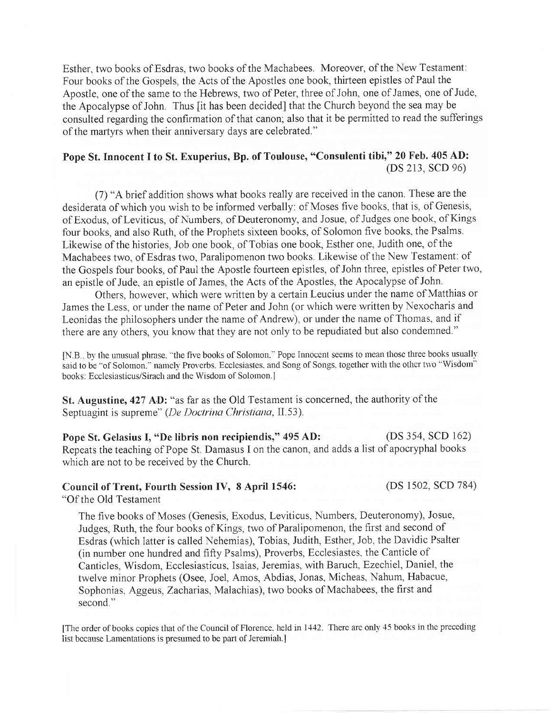Esther, two books of Esdras, two books of the Machabees. Moreover, of the New Testament: Four books of the Gospels, the Acts of the Apostles one book, thirteen epistles of Paul the Apostle, one of the same to the Hebrews, two of Peter, three of John, one of James, one of Jude, the Apocalypse of John. Thus *lit has been decided* I that the Church beyond the sea may be consulted regarding the confirmation of that canon; also that it be permitted to read the sufferings of the martyrs when their anniversary days are celebrated."

# Pope St. Innocent I to St. Exuperius, Bp. of Toulouse, "Consulenti tibi," 20 Feb. 405 AD: (DS 213, SCD 96)

(7) "A brief addition shows what books really are received in the canon. These are the desiderata of which you wish to be informed verbally: of Moses five books, that is, of Genesis, of Exodus, of Leviticus, of Numbers, of Deuteronomy, and Josue, of Judges one book, of Kings four books, and also Ruth, of the Prophets sixteen books, of Solomon five books, the Psalms. Likewise of the histories, Job one book, of Tobias one book, Esther one, Judith one, of the Machabees two, of Esdras two, Paralipomenon two books. Likewise of the New Testament: of the Gospels four books, of Paul the Apostle fourteen epistles, of John three, epistles of Peter two, an epistle of Jude, an epistle of James, the Acts of the Apostles, the Apocalypse of John.

Others, however, which were written by a certain Leucius under the name of Matthias or James the Less, or under the name of Peter and John (or which were written by Nexocharis and Leonidas the philosophers under the name of Andrew). or under the name of Thomas, and if there are any others, you know that they are not only to be repudiated but also condemned."

[N.B., by the unusual phrase. "the five books of Solomon." Pope Innocent seems to mean those three books usually said to be "of Solomon." namely Proverbs. Ecclesiastes, and Song of Songs, together with the other two "Wisdom" books: Ecclesiasticus/Sirach and the Wisdom of Solomon.]

St. Augustine, 427 A.D: "as far as the Old Testament is concerned, the authority of the Septuagint is supreme" (De Doctrina Christiana, II.53).

Pope St. Gelasius I, "De libris non recipiendis," 495 AD: (DS 354, SCD 162) Repeats the teaching of Pope St. Damasus I on the canon, and adds a list of apocryphal books which are not to be received by the Church.

#### Council of Trent, Fourth Session IV, 8 April 1546: "Of the Old Testament (DS 1502, SCD 784)

The five books of Moses (Genesis, Exodus, Leviticus, Numbers, Deuteronomy), Josue, Judges, Ruth, the four books of Kings, two of Paralipomenon, the first and second of Esdras (which latter is called Nehemias), Tobias, Judith, Esther, Job, the Davidic Psalter (in number one hundred and fifty Psalms), Proverbs, Ecclesiastes. the Canticle of Canticles, Wisdom, Ecclesiasticus, Isaias, Jeremias, with Baruch, Ezechiel, Daniel, the twelve minor Prophets (Osee, Joel, Amos, Abdias, Jonas, Micheas, Nahum, Habacue, Sophonias, Aggeus, Zacharias. Malachias), two books of Machabees, the first and second."

[The order of books copics that of the Council of Florence. held in 1 442. There are only 45 books in the preceding list because Lamentations is presumed to be part of Jeremiah.]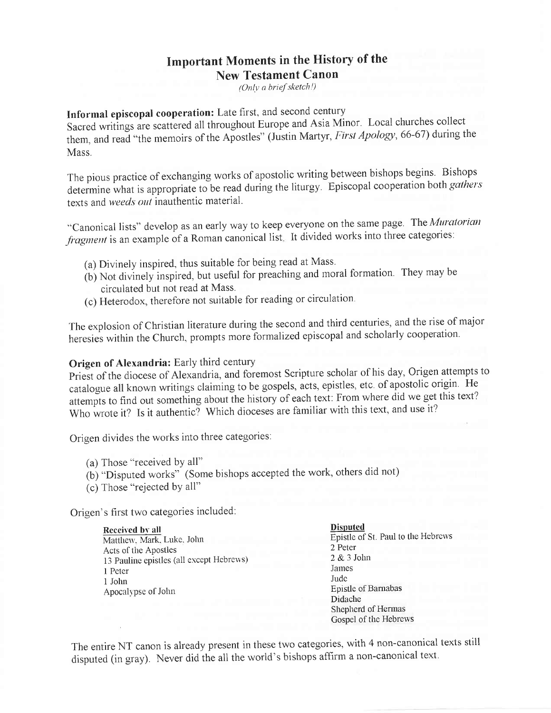# Important Moments in the History of the New Testament Canon

(Only a brief sketch!)

Informal episcopal cooperation: Late first, and second century Sacred writings are scattered all throughout Europe and Asia Minor. Local churches collect them, and read "the memoirs of the Apostles" (Justin Martyr, First Apology, 66-67) during the Mass.

The pious practice of exchanging works of apostolic writing between bishops begins. Bishops determine what is appropriate to be read during the liturgy. Episcopal cooperation both gathers texts and weeds out inauthentic material.

"Canonical lists" develop as an early way to keep everyone on the same page. The Muratorian fragment is an example of a Roman canonical list. It divided works into three categories:

- (a) Divinely inspired, thus suitable for being read at Mass
- $(b)$  Not divinely inspired, but useful for preaching and moral formation. They may be circulated but not read at Mass.
- (c) Heterodox, therefore not suitable for reading or circulation.

The explosion of Christian literature during the second and third centuries, and the rise of major heresies within the Church, prompts more formalized episcopal and scholarly cooperation.

# Origen of Alexandria: Early third century

Priest of the diocese of Alexandria, and foremost Scripture scholar of his day, Origen attempts to catalogue all known writings claiming to be gospels, acts, epistles, etc. of apostolic origin He attempts to find out something about the history of each text: From where did we get this text? Who wrote it? Is it authentic? Which dioceses are familiar with this text, and use it?

Origen divides the works into three categories:

- (a) Those "received by all"
- (b) "Disputed works" (Some bishops accepted the work, others did not)
- (c) Those "rejected bY all"

Origen's first two categories included:

Received bv all Mattheu'. Mark. Luke. Jolm Acts of the Apostles 13 Pauline epistles (all except Hebrews) I Peter I Jolm Apocalypse of John

Disputed

Epistle of St. Paul to the Hebrcws 2 Peter 2&3Joln James Judc Epistle of Bamabas Didache Shepherd of Hermas Gospel of the Hebrews

The entire NT canon is already present in these two categories, with 4 non-canonical texts still disputed (in gray). Never did the all the world's bishops affrrm a non-canonical text.